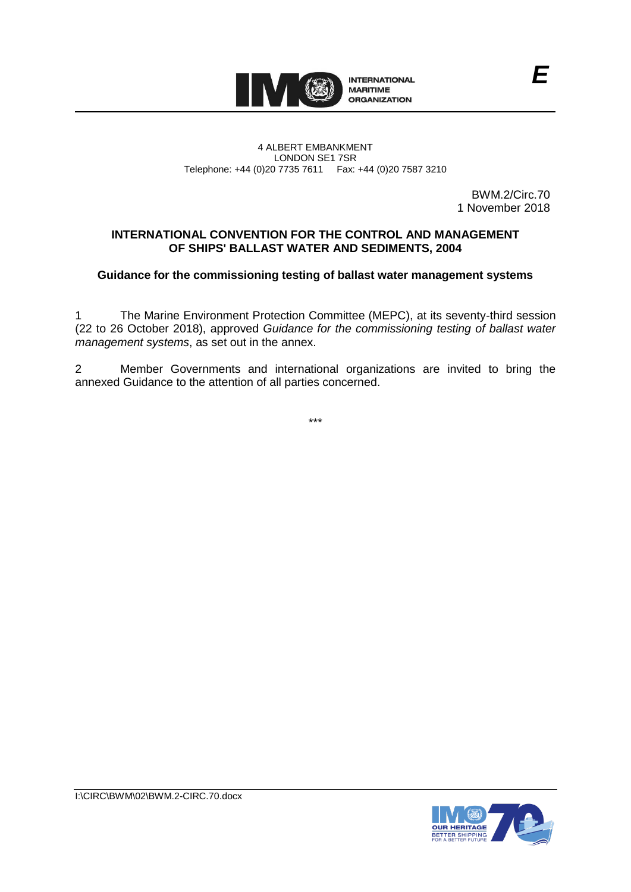

#### 4 ALBERT EMBANKMENT LONDON SE1 7SR Telephone: +44 (0)20 7735 7611 Fax: +44 (0)20 7587 3210

BWM.2/Circ.70 1 November 2018

*E*

# **INTERNATIONAL CONVENTION FOR THE CONTROL AND MANAGEMENT OF SHIPS' BALLAST WATER AND SEDIMENTS, 2004**

## **Guidance for the commissioning testing of ballast water management systems**

1 The Marine Environment Protection Committee (MEPC), at its seventy-third session (22 to 26 October 2018), approved *Guidance for the commissioning testing of ballast water management systems*, as set out in the annex.

2 Member Governments and international organizations are invited to bring the annexed Guidance to the attention of all parties concerned.

\*\*\*

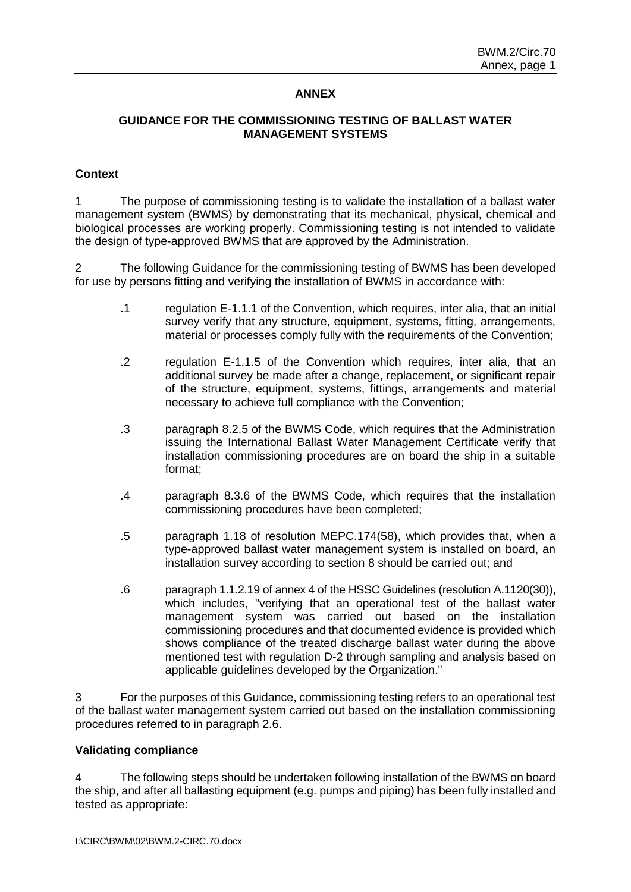## **ANNEX**

## **GUIDANCE FOR THE COMMISSIONING TESTING OF BALLAST WATER MANAGEMENT SYSTEMS**

#### **Context**

1 The purpose of commissioning testing is to validate the installation of a ballast water management system (BWMS) by demonstrating that its mechanical, physical, chemical and biological processes are working properly. Commissioning testing is not intended to validate the design of type-approved BWMS that are approved by the Administration.

2 The following Guidance for the commissioning testing of BWMS has been developed for use by persons fitting and verifying the installation of BWMS in accordance with:

- .1 regulation E-1.1.1 of the Convention, which requires, inter alia, that an initial survey verify that any structure, equipment, systems, fitting, arrangements, material or processes comply fully with the requirements of the Convention;
- .2 regulation E-1.1.5 of the Convention which requires, inter alia, that an additional survey be made after a change, replacement, or significant repair of the structure, equipment, systems, fittings, arrangements and material necessary to achieve full compliance with the Convention;
- .3 paragraph 8.2.5 of the BWMS Code, which requires that the Administration issuing the International Ballast Water Management Certificate verify that installation commissioning procedures are on board the ship in a suitable format;
- .4 paragraph 8.3.6 of the BWMS Code, which requires that the installation commissioning procedures have been completed;
- .5 paragraph 1.18 of resolution MEPC.174(58), which provides that, when a type-approved ballast water management system is installed on board, an installation survey according to section 8 should be carried out; and
- .6 paragraph 1.1.2.19 of annex 4 of the HSSC Guidelines (resolution A.1120(30)), which includes, "verifying that an operational test of the ballast water management system was carried out based on the installation commissioning procedures and that documented evidence is provided which shows compliance of the treated discharge ballast water during the above mentioned test with regulation D-2 through sampling and analysis based on applicable guidelines developed by the Organization."

3 For the purposes of this Guidance, commissioning testing refers to an operational test of the ballast water management system carried out based on the installation commissioning procedures referred to in paragraph 2.6.

#### **Validating compliance**

4 The following steps should be undertaken following installation of the BWMS on board the ship, and after all ballasting equipment (e.g. pumps and piping) has been fully installed and tested as appropriate: